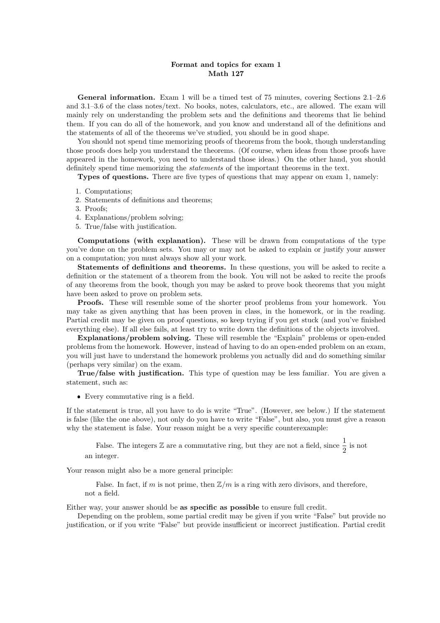## Format and topics for exam 1 Math 127

General information. Exam 1 will be a timed test of 75 minutes, covering Sections 2.1–2.6 and 3.1–3.6 of the class notes/text. No books, notes, calculators, etc., are allowed. The exam will mainly rely on understanding the problem sets and the definitions and theorems that lie behind them. If you can do all of the homework, and you know and understand all of the definitions and the statements of all of the theorems we've studied, you should be in good shape.

You should not spend time memorizing proofs of theorems from the book, though understanding those proofs does help you understand the theorems. (Of course, when ideas from those proofs have appeared in the homework, you need to understand those ideas.) On the other hand, you should definitely spend time memorizing the statements of the important theorems in the text.

Types of questions. There are five types of questions that may appear on exam 1, namely:

- 1. Computations;
- 2. Statements of definitions and theorems;
- 3. Proofs;
- 4. Explanations/problem solving;
- 5. True/false with justification.

Computations (with explanation). These will be drawn from computations of the type you've done on the problem sets. You may or may not be asked to explain or justify your answer on a computation; you must always show all your work.

Statements of definitions and theorems. In these questions, you will be asked to recite a definition or the statement of a theorem from the book. You will not be asked to recite the proofs of any theorems from the book, though you may be asked to prove book theorems that you might have been asked to prove on problem sets.

Proofs. These will resemble some of the shorter proof problems from your homework. You may take as given anything that has been proven in class, in the homework, or in the reading. Partial credit may be given on proof questions, so keep trying if you get stuck (and you've finished everything else). If all else fails, at least try to write down the definitions of the objects involved.

Explanations/problem solving. These will resemble the "Explain" problems or open-ended problems from the homework. However, instead of having to do an open-ended problem on an exam, you will just have to understand the homework problems you actually did and do something similar (perhaps very similar) on the exam.

True/false with justification. This type of question may be less familiar. You are given a statement, such as:

Every commutative ring is a field.

If the statement is true, all you have to do is write "True". (However, see below.) If the statement is false (like the one above), not only do you have to write "False", but also, you must give a reason why the statement is false. Your reason might be a very specific counterexample:

False. The integers  $\mathbb Z$  are a commutative ring, but they are not a field, since  $\frac{1}{2}$  is not an integer.

Your reason might also be a more general principle:

False. In fact, if m is not prime, then  $\mathbb{Z}/m$  is a ring with zero divisors, and therefore, not a field.

Either way, your answer should be as specific as possible to ensure full credit.

Depending on the problem, some partial credit may be given if you write "False" but provide no justification, or if you write "False" but provide insufficient or incorrect justification. Partial credit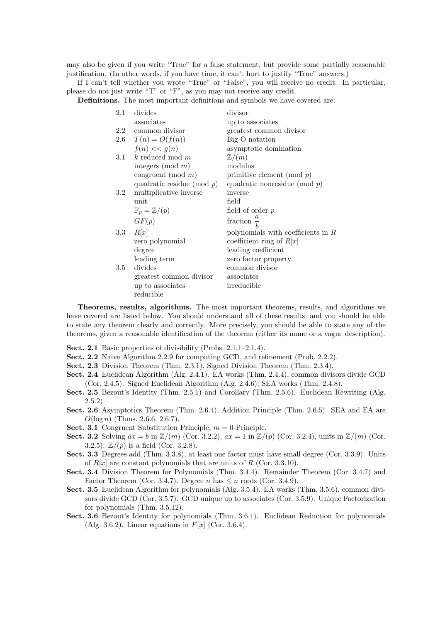may also be given if you write "True" for a false statement, but provide some partially reasonable justification. (In other words, if you have time, it can't hurt to justify "True" answers.)

If I can't tell whether you wrote "True" or "False", you will receive no credit. In particular, please do not just write "T" or "F", as you may not receive any credit.

Definitions. The most important definitions and symbols we have covered are:

| 2.1     | divides                         | divisor                              |
|---------|---------------------------------|--------------------------------------|
|         | associates                      | up to associates                     |
|         | 2.2 common divisor              | greatest common divisor              |
|         | 2.6 $T(n) = O(f(n))$            | Big O notation                       |
|         | $f(n) \ll g(n)$                 | asymptotic domination                |
| 3.1     | k reduced mod $m$               | $\mathbb{Z}/(m)$                     |
|         | integers (mod $m$ )             | modulus                              |
|         | congruent (mod $m$ )            | primitive element (mod $p$ )         |
|         | quadratic residue (mod $p$ )    | quadratic nonresidue (mod $p$ )      |
| $3.2\,$ | multiplicative inverse          | inverse                              |
|         | unit                            | field                                |
|         | $\mathbb{F}_p = \mathbb{Z}/(p)$ | field of order $p$                   |
|         | GF(p)                           | fraction $\frac{a}{1}$               |
| $3.3\,$ | R[x]                            | polynomials with coefficients in $R$ |
|         | zero polynomial                 | coefficient ring of $R[x]$           |
|         | degree                          | leading coefficient                  |
|         | leading term                    | zero factor property                 |
| $3.5\,$ | divides                         | common divisor                       |
|         | greatest common divisor         | associates                           |
|         | up to associates                | irreducible                          |
|         | reducible                       |                                      |

Theorems, results, algorithms. The most important theorems, results, and algorithms we have covered are listed below. You should understand all of these results, and you should be able to state any theorem clearly and correctly. More precisely, you should be able to state any of the theorems, given a reasonable identification of the theorem (either its name or a vague description).

- Sect. 2.1 Basic properties of divisibility (Probs. 2.1.1–2.1.4).
- Sect. 2.2 Naive Algorithm 2.2.9 for computing GCD, and refinement (Prob. 2.2.2).
- Sect. 2.3 Division Theorem (Thm. 2.3.1), Signed Division Theorem (Thm. 2.3.4).
- Sect. 2.4 Euclidean Algorithm (Alg. 2.4.1). EA works (Thm. 2.4.4), common divisors divide GCD (Cor. 2.4.5). Signed Euclidean Algorithm (Alg. 2.4.6); SEA works (Thm. 2.4.8).
- Sect. 2.5 Bezout's Identity (Thm. 2.5.1) and Corollary (Thm. 2.5.6). Euclidean Rewriting (Alg. 2.5.2).
- Sect. 2.6 Asymptotics Theorem (Thm. 2.6.4), Addition Principle (Thm. 2.6.5). SEA and EA are  $O(\log n)$  (Thms. 2.6.6, 2.6.7).
- **Sect. 3.1** Congruent Substitution Principle,  $m = 0$  Principle.
- Sect. 3.2 Solving  $ax = b$  in  $\mathbb{Z}/(m)$  (Cor. 3.2.2),  $ax = 1$  in  $\mathbb{Z}/(p)$  (Cor. 3.2.4), units in  $\mathbb{Z}/(m)$  (Cor. 3.2.5).  $\mathbb{Z}/(p)$  is a field (Cor. 3.2.8).
- Sect. 3.3 Degrees add (Thm. 3.3.8), at least one factor must have small degree (Cor. 3.3.9). Units of  $R[x]$  are constant polynomials that are units of R (Cor. 3.3.10).
- Sect. 3.4 Division Theorem for Polynomials (Thm. 3.4.4). Remainder Theorem (Cor. 3.4.7) and Factor Theorem (Cor. 3.4.7). Degree n has  $\leq n$  roots (Cor. 3.4.9).
- Sect. 3.5 Euclidean Algorithm for polynomials (Alg. 3.5.4). EA works (Thm. 3.5.6), common divisors divide GCD (Cor. 3.5.7). GCD unique up to associates (Cor. 3.5.9). Unique Factorization for polynomials (Thm. 3.5.12).
- Sect. 3.6 Bezout's Identity for polynomials (Thm. 3.6.1). Euclidean Reduction for polynomials (Alg. 3.6.2). Linear equations in  $F[x]$  (Cor. 3.6.4).